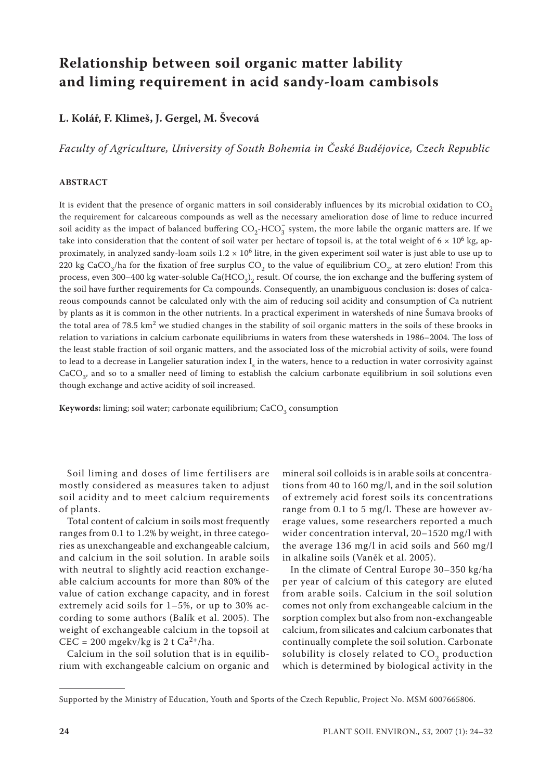# **Relationship between soil organic matter lability and liming requirement in acid sandy-loam cambisols**

# **L. Kolář, F. Klimeš, J. Gergel, M. Švecová**

*Faculty of Agriculture, University of South Bohemia in České Budějovice, Czech Republic*

### **ABSTRACT**

It is evident that the presence of organic matters in soil considerably influences by its microbial oxidation to  $CO<sub>2</sub>$ the requirement for calcareous compounds as well as the necessary amelioration dose of lime to reduce incurred soil acidity as the impact of balanced buffering  $CO_2$ -HCO<sub>3</sub> system, the more labile the organic matters are. If we take into consideration that the content of soil water per hectare of topsoil is, at the total weight of  $6 \times 10^6$  kg, approximately, in analyzed sandy-loam soils  $1.2 \times 10^6$  litre, in the given experiment soil water is just able to use up to 220 kg CaCO<sub>3</sub>/ha for the fixation of free surplus CO<sub>2</sub> to the value of equilibrium CO<sub>2</sub>, at zero elution! From this process, even 300–400 kg water-soluble Ca(HCO<sub>3</sub>)<sub>2</sub> result. Of course, the ion exchange and the buffering system of the soil have further requirements for Ca compounds. Consequently, an unambiguous conclusion is: doses of calcareous compounds cannot be calculated only with the aim of reducing soil acidity and consumption of Ca nutrient by plants as it is common in the other nutrients. In a practical experiment in watersheds of nine Šumava brooks of the total area of 78.5 km<sup>2</sup> we studied changes in the stability of soil organic matters in the soils of these brooks in relation to variations in calcium carbonate equilibriums in waters from these watersheds in 1986–2004. The loss of the least stable fraction of soil organic matters, and the associated loss of the microbial activity of soils, were found to lead to a decrease in Langelier saturation index I<sub>s</sub> in the waters, hence to a reduction in water corrosivity against CaCO<sub>3</sub>, and so to a smaller need of liming to establish the calcium carbonate equilibrium in soil solutions even though exchange and active acidity of soil increased.

**Keywords:** liming; soil water; carbonate equilibrium; CaCO<sub>3</sub> consumption

Soil liming and doses of lime fertilisers are mostly considered as measures taken to adjust soil acidity and to meet calcium requirements of plants.

Total content of calcium in soils most frequently ranges from 0.1 to 1.2% by weight, in three categories as unexchangeable and exchangeable calcium, and calcium in the soil solution. In arable soils with neutral to slightly acid reaction exchangeable calcium accounts for more than 80% of the value of cation exchange capacity, and in forest extremely acid soils for 1–5%, or up to 30% according to some authors (Balík et al. 2005). The weight of exchangeable calcium in the topsoil at  $CEC = 200$  mgekv/kg is 2 t  $Ca^{2+}/ha$ .

Calcium in the soil solution that is in equilibrium with exchangeable calcium on organic and

mineral soil colloids is in arable soils at concentrations from 40 to 160 mg/l, and in the soil solution of extremely acid forest soils its concentrations range from 0.1 to 5 mg/l. These are however average values, some researchers reported a much wider concentration interval, 20–1520 mg/l with the average 136 mg/l in acid soils and 560 mg/l in alkaline soils (Vaněk et al. 2005).

In the climate of Central Europe 30–350 kg/ha per year of calcium of this category are eluted from arable soils. Calcium in the soil solution comes not only from exchangeable calcium in the sorption complex but also from non-exchangeable calcium, from silicates and calcium carbonates that continually complete the soil solution. Carbonate solubility is closely related to  $CO<sub>2</sub>$  production which is determined by biological activity in the

Supported by the Ministry of Education, Youth and Sports of the Czech Republic, Project No. MSM 6007665806.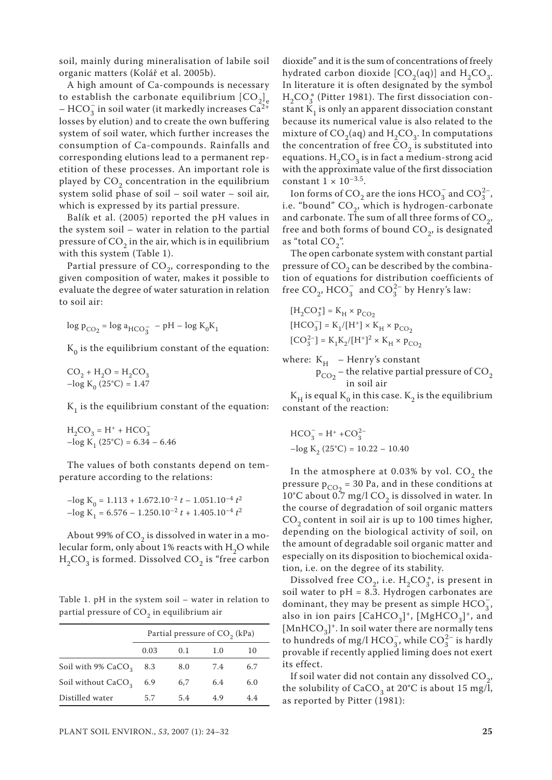soil, mainly during mineralisation of labile soil organic matters (Kolář et al. 2005b).

A high amount of Ca-compounds is necessary to establish the carbonate equilibrium  ${[CO_2]}_e$ –  $\text{HCO}_3^-$  in soil water (it markedly increases  $\text{Ca}^{2+}$ losses by elution) and to create the own buffering system of soil water, which further increases the consumption of Ca-compounds. Rainfalls and corresponding elutions lead to a permanent repetition of these processes. An important role is played by  $CO<sub>2</sub>$  concentration in the equilibrium system solid phase of soil – soil water – soil air, which is expressed by its partial pressure.

Balík et al. (2005) reported the pH values in the system soil – water in relation to the partial pressure of  $CO<sub>2</sub>$  in the air, which is in equilibrium with this system (Table 1).

Partial pressure of  $CO<sub>2</sub>$ , corresponding to the given composition of water, makes it possible to evaluate the degree of water saturation in relation to soil air:

$$
\log p_{CO_2} = \log a_{HCO_3^-} - pH - \log K_0K_1
$$

 $K_0$  is the equilibrium constant of the equation:

$$
CO_2 + H_2O = H_2CO_3
$$
  
-log K<sub>0</sub> (25°C) = 1.47

 $\mathbf{K}_1$  is the equilibrium constant of the equation:

 $H_2CO_3 = H^+ + HCO_3^ -log K_1 (25^{\circ}C) = 6.34 - 6.46$ 

The values of both constants depend on temperature according to the relations:

 $-\log K_0 = 1.113 + 1.672.10^{-2} t - 1.051.10^{-4} t^2$  $-\log K_1 = 6.576 - 1.250.10^{-2} t + 1.405.10^{-4} t^2$ 

About 99% of  $CO<sub>2</sub>$  is dissolved in water in a molecular form, only about 1% reacts with  $H<sub>2</sub>O$  while  $H_2CO_3$  is formed. Dissolved CO<sub>2</sub> is "free carbon

Table 1. pH in the system soil – water in relation to partial pressure of  $CO<sub>2</sub>$  in equilibrium air

|                                | Partial pressure of $CO2$ (kPa) |     |     |     |  |  |  |  |  |  |  |
|--------------------------------|---------------------------------|-----|-----|-----|--|--|--|--|--|--|--|
|                                | 0.03                            | 0.1 | 1.0 | 10  |  |  |  |  |  |  |  |
| Soil with 9% $CaCO3$           | 8.3                             | 8.0 | 7.4 | 6.7 |  |  |  |  |  |  |  |
| Soil without CaCO <sub>3</sub> | 6.9                             | 6,7 | 6.4 | 6.0 |  |  |  |  |  |  |  |
| Distilled water                | 5.7                             | 5.4 | 4.9 | 4.4 |  |  |  |  |  |  |  |

dioxide" and it is the sum of concentrations of freely hydrated carbon dioxide  $[CO<sub>2</sub>(aq)]$  and  $H<sub>2</sub>CO<sub>3</sub>$ . In literature it is often designated by the symbol  $\rm H_2CO_3^*$  (Pitter 1981). The first dissociation constant  $K<sub>1</sub>$  is only an apparent dissociation constant because its numerical value is also related to the mixture of  $CO<sub>2</sub>(aq)$  and  $H<sub>2</sub>CO<sub>3</sub>$ . In computations the concentration of free  $CO<sub>2</sub>$  is substituted into equations.  $H_2CO_3$  is in fact a medium-strong acid with the approximate value of the first dissociation constant  $1 \times 10^{-3.5}$ .

Ion forms of  $CO_2$  are the ions  $HCO_3^-$  and  $CO_3^{2-}$ , i.e. "bound"  $CO<sub>2</sub>$ , which is hydrogen-carbonate and carbonate. The sum of all three forms of  $CO<sub>2</sub>$ , free and both forms of bound  $CO<sub>2</sub>$ , is designated as "total  $CO_2$ ".

The open carbonate system with constant partial pressure of  $CO<sub>2</sub>$  can be described by the combination of equations for distribution coefficients of free  $CO_2$ , HCO<sub>3</sub> and CO<sub>3</sub><sup>2</sup> by Henry's law:

$$
[H_2CO_3^*] = K_H \times p_{CO_2}
$$
  
\n
$$
[HCO_3^-] = K_1/[H^+] \times K_H \times p_{CO_2}
$$
  
\n
$$
[CO_3^{2-}] = K_1K_2/[H^+]^2 \times K_H \times p_{CO_2}
$$

where:  $K_H$  – Henry's constant

 ${\rm p}_{\rm CO_2}$  – the relative partial pressure of  ${\rm CO_2}$ in soil air

 $K_H$  is equal  $K_0$  in this case.  $K_2$  is the equilibrium constant of the reaction:

$$
HCO_3^- = H^+ + CO_3^{2-}
$$
  
-log K<sub>2</sub> (25°C) = 10.22 - 10.40

In the atmosphere at  $0.03\%$  by vol.  $CO<sub>2</sub>$  the pressure  $p_{CO_2}$  = 30 Pa, and in these conditions at 10°C about  $0.7$  mg/l CO<sub>2</sub> is dissolved in water. In the course of degradation of soil organic matters  $CO<sub>2</sub>$  content in soil air is up to 100 times higher, depending on the biological activity of soil, on the amount of degradable soil organic matter and especially on its disposition to biochemical oxidation, i.e. on the degree of its stability.

Dissolved free  $CO_2$ , i.e.  $H_2CO_3^*$ , is present in soil water to pH = 8.3. Hydrogen carbonates are dominant, they may be present as simple  $HCO_3^-$ , also in ion pairs  $[CaHCO<sub>3</sub>]$ <sup>+</sup>,  $[MgHCO<sub>3</sub>]$ <sup>+</sup>, and  $[MnHCO<sub>3</sub>]$ <sup>+</sup>. In soil water there are normally tens to hundreds of mg/l HCO<sub>3</sub>, while CO<sub>3</sub><sup>2</sup> is hardly provable if recently applied liming does not exert its effect.

If soil water did not contain any dissolved  $CO<sub>2</sub>$ , the solubility of CaCO<sub>3</sub> at 20°C is about 15 mg/l, as reported by Pitter (1981):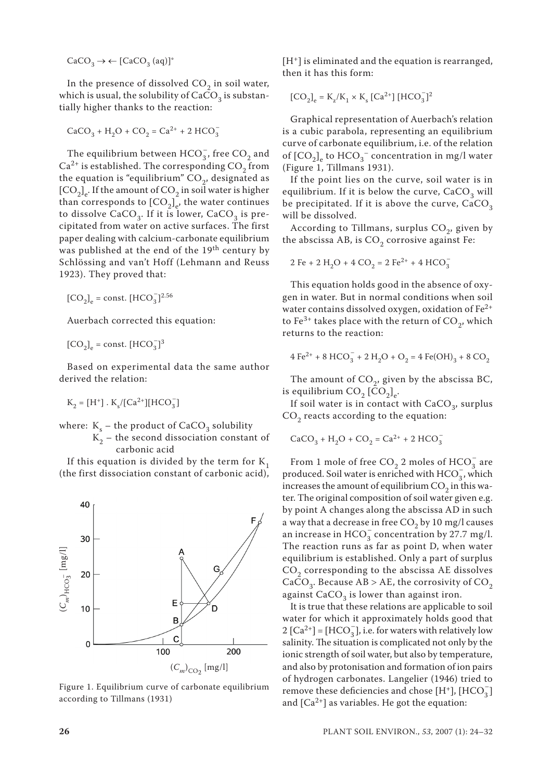$CaCO<sub>3</sub> \rightarrow \leftarrow [CaCO<sub>3</sub> (aq)]$ <sup>°</sup>

In the presence of dissolved  $CO<sub>2</sub>$  in soil water, which is usual, the solubility of  $CaCO<sub>3</sub>$  is substantially higher thanks to the reaction:

$$
CaCO_3 + H_2O + CO_2 = Ca^{2+} + 2 HCO_3^-
$$

The equilibrium between  $HCO_3^-$ , free  $CO_2^-$  and  $Ca^{2+}$  is established. The corresponding  $CO<sub>2</sub>$  from the equation is "equilibrium"  $CO<sub>2</sub>$ , designated as  $[CO<sub>2</sub>]$ <sub>e</sub>. If the amount of  $CO<sub>2</sub>$  in soil water is higher than corresponds to  $[CO_2]_e$ , the water continues to dissolve  $CaCO<sub>3</sub>$ . If it is lower,  $CaCO<sub>3</sub>$  is precipitated from water on active surfaces. The first paper dealing with calcium-carbonate equilibrium was published at the end of the 19<sup>th</sup> century by Schlössing and van't Hoff (Lehmann and Reuss 1923). They proved that:

 $[CO_2]_e = \text{const.} [HCO_3^-]^{2.56}$ 

Auerbach corrected this equation:

 $[CO_2]_e = \text{const.} [HCO_3^-]^3$ 

Based on experimental data the same author derived the relation:

 $K_2 = [H^+] \cdot K_s / [Ca^{2+}][HCO_3^-]$ 

where:  $K_s$  – the product of  $CaCO_3$  solubility

 $K<sub>2</sub>$  – the second dissociation constant of carbonic acid

If this equation is divided by the term for  $K_1$ (the first dissociation constant of carbonic acid),



Figure 1. Equilibrium curve of carbonate equilibrium according to Tillmans (1931)

 $[H^+]$  is eliminated and the equation is rearranged, then it has this form:

$$
[\text{CO}_2]_{\text{e}} = \text{K}_{\text{z}}/\text{K}_{\text{1}} \times \text{K}_{\text{s}} \, [\text{Ca}^{2+}] \, [\text{HCO}_3^-]^2
$$

Graphical representation of Auerbach's relation is a cubic parabola, representing an equilibrium curve of carbonate equilibrium, i.e. of the relation of  $[CO_2]_e$  to  $HCO_3^-$  concentration in mg/l water (Figure 1, Tillmans 1931).

If the point lies on the curve, soil water is in equilibrium. If it is below the curve,  $CaCO<sub>3</sub>$  will be precipitated. If it is above the curve,  $CaCO<sub>3</sub>$ will be dissolved.

According to Tillmans, surplus  $CO<sub>2</sub>$ , given by the abscissa AB, is  $CO<sub>2</sub>$  corrosive against Fe:

$$
2 \text{ Fe} + 2 \text{ H}_2\text{O} + 4 \text{ CO}_2 = 2 \text{ Fe}^{2+} + 4 \text{ HCO}_3^-
$$

This equation holds good in the absence of oxygen in water. But in normal conditions when soil water contains dissolved oxygen, oxidation of Fe2+ to Fe<sup>3+</sup> takes place with the return of  $CO<sub>2</sub>$ , which returns to the reaction:

$$
4 \text{ Fe}^{2+} + 8 \text{ HCO}_3^- + 2 \text{ H}_2\text{O} + \text{O}_2 = 4 \text{ Fe(OH)}_3 + 8 \text{ CO}_2
$$

The amount of  $CO<sub>2</sub>$ , given by the abscissa BC, is equilibrium  $CO_2$   $[CO_2]_e$ .

If soil water is in contact with  $CaCO<sub>3</sub>$ , surplus  $CO<sub>2</sub>$  reacts according to the equation:

$$
CaCO_3 + H_2O + CO_2 = Ca^{2+} + 2 HCO_3^-
$$

From 1 mole of free  $CO_2$  2 moles of HCO<sub>3</sub> are produced. Soil water is enriched with  $HCO_3^-$ , which increases the amount of equilibrium  $CO<sub>2</sub>$  in this water. The original composition of soil water given e.g. by point A changes along the abscissa AD in such a way that a decrease in free  $CO<sub>2</sub>$  by 10 mg/l causes an increase in  $HCO_3^-$  concentration by 27.7 mg/l. The reaction runs as far as point D, when water equilibrium is established. Only a part of surplus  $CO<sub>2</sub>$  corresponding to the abscissa AE dissolves CaCO<sub>3</sub>. Because AB > AE, the corrosivity of CO<sub>2</sub> against  $CaCO<sub>3</sub>$  is lower than against iron.

It is true that these relations are applicable to soil water for which it approximately holds good that  $2 [Ca<sup>2+</sup>] = [HCO<sub>3</sub><sup>-</sup>],$  i.e. for waters with relatively low salinity. The situation is complicated not only by the ionic strength of soil water, but also by temperature, and also by protonisation and formation of ion pairs of hydrogen carbonates. Langelier (1946) tried to remove these deficiencies and chose  $[H^+]$ ,  $[HCO_3^-]$ and  $\lceil Ca^{2+} \rceil$  as variables. He got the equation: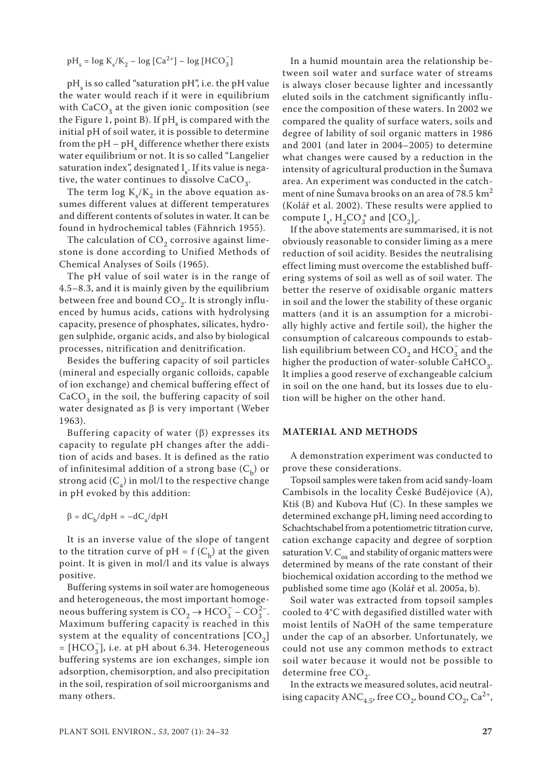$pH_s = \log K_s/K_2 - \log [Ca^{2+}] - \log [HCO_3^-]$ 

 $\rm pH_{s}$  is so called "saturation pH", i.e. the pH value the water would reach if it were in equilibrium with  $CaCO<sub>3</sub>$  at the given ionic composition (see the Figure 1, point B). If  $pH_s$  is compared with the initial pH of soil water, it is possible to determine from the  $pH - pH_s$  difference whether there exists water equilibrium or not. It is so called "Langelier saturation index", designated  $I_s$ . If its value is negative, the water continues to dissolve  $CaCO<sub>3</sub>$ .

The term  $\log K_s/K_2$  in the above equation assumes different values at different temperatures and different contents of solutes in water. It can be found in hydrochemical tables (Fähnrich 1955).

The calculation of  $CO<sub>2</sub>$  corrosive against limestone is done according to Unified Methods of Chemical Analyses of Soils (1965).

The pH value of soil water is in the range of 4.5–8.3, and it is mainly given by the equilibrium between free and bound  $CO<sub>2</sub>$ . It is strongly influenced by humus acids, cations with hydrolysing capacity, presence of phosphates, silicates, hydrogen sulphide, organic acids, and also by biological processes, nitrification and denitrification.

Besides the buffering capacity of soil particles (mineral and especially organic colloids, capable of ion exchange) and chemical buffering effect of  $CaCO<sub>3</sub>$  in the soil, the buffering capacity of soil water designated as  $β$  is very important (Weber 1963).

Buffering capacity of water  $(β)$  expresses its capacity to regulate pH changes after the addition of acids and bases. It is defined as the ratio of infinitesimal addition of a strong base  $(C_b)$  or strong acid  $(C_a)$  in mol/l to the respective change in pH evoked by this addition:

 $\beta = dC_b/dpH = -dC_a/dpH$ 

It is an inverse value of the slope of tangent to the titration curve of  $pH = f(C_b)$  at the given point. It is given in mol/l and its value is always positive.

Buffering systems in soil water are homogeneous and heterogeneous, the most important homogeneous buffering system is  $CO_2 \rightarrow HCO_3^- - CO_3^{2-}$ . Maximum buffering capacity is reached in this system at the equality of concentrations  $[CO<sub>3</sub>]$  $=$  [HCO<sub>3</sub>], i.e. at pH about 6.34. Heterogeneous buffering systems are ion exchanges, simple ion adsorption, chemisorption, and also precipitation in the soil, respiration of soil microorganisms and many others.

In a humid mountain area the relationship between soil water and surface water of streams is always closer because lighter and incessantly eluted soils in the catchment significantly influence the composition of these waters. In 2002 we compared the quality of surface waters, soils and degree of lability of soil organic matters in 1986 and 2001 (and later in 2004–2005) to determine what changes were caused by a reduction in the intensity of agricultural production in the Šumava area. An experiment was conducted in the catchment of nine Šumava brooks on an area of 78.5 km<sup>2</sup> (Kolář et al. 2002). These results were applied to compute  $I_s$ ,  $H_2CO_3^*$  and  $[CO_2]_e$ .

If the above statements are summarised, it is not obviously reasonable to consider liming as a mere reduction of soil acidity. Besides the neutralising effect liming must overcome the established buffering systems of soil as well as of soil water. The better the reserve of oxidisable organic matters in soil and the lower the stability of these organic matters (and it is an assumption for a microbially highly active and fertile soil), the higher the consumption of calcareous compounds to establish equilibrium between  $CO_2$  and  $HCO_3^-$  and the higher the production of water-soluble CaHCO<sub>3</sub>. It implies a good reserve of exchangeable calcium in soil on the one hand, but its losses due to elution will be higher on the other hand.

#### **MATERIAL AND METHODS**

A demonstration experiment was conducted to prove these considerations.

Topsoil samples were taken from acid sandy-loam Cambisols in the locality České Budějovice (A), Ktiš (B) and Kubova Huť (C). In these samples we determined exchange pH, liming need according to Schachtschabel from a potentiometric titration curve, cation exchange capacity and degree of sorption saturation V.  $C_{\alpha}$  and stability of organic matters were determined by means of the rate constant of their biochemical oxidation according to the method we published some time ago (Kolář et al. 2005a, b).

Soil water was extracted from topsoil samples cooled to 4°C with degasified distilled water with moist lentils of NaOH of the same temperature under the cap of an absorber. Unfortunately, we could not use any common methods to extract soil water because it would not be possible to determine free  $CO<sub>2</sub>$ .

In the extracts we measured solutes, acid neutralising capacity ANC<sub>4.5</sub>, free CO<sub>2</sub>, bound CO<sub>2</sub>, Ca<sup>2+</sup>,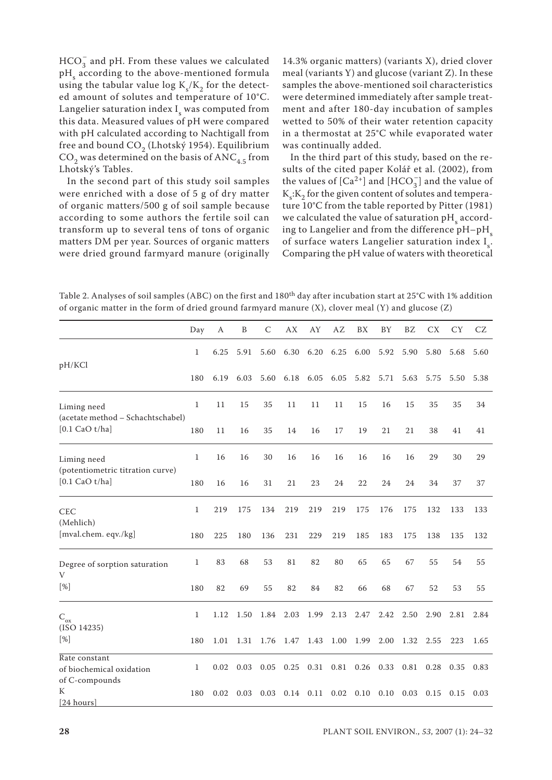$HCO_3^-$  and pH. From these values we calculated pH<sub>s</sub> according to the above-mentioned formula using the tabular value  $\log K_s/K_2$  for the detected amount of solutes and temperature of 10°C. Langelier saturation index  $I_s$  was computed from this data. Measured values of pH were compared with pH calculated according to Nachtigall from free and bound  $\mathrm{CO}_2^{}$  (Lhotský 1954). Equilibrium CO<sub>2</sub> was determined on the basis of ANC<sub>4.5</sub> from Lhotský's Tables.

In the second part of this study soil samples were enriched with a dose of 5 g of dry matter of organic matters/500 g of soil sample because according to some authors the fertile soil can transform up to several tens of tons of organic matters DM per year. Sources of organic matters were dried ground farmyard manure (originally

14.3% organic matters) (variants X), dried clover meal (variants Y) and glucose (variant Z). In these samples the above-mentioned soil characteristics were determined immediately after sample treatment and after 180-day incubation of samples wetted to 50% of their water retention capacity in a thermostat at 25°C while evaporated water was continually added.

In the third part of this study, based on the results of the cited paper Kolář et al. (2002), from the values of  $[Ca^{2+}]$  and  $[HCO_{3}^-]$  and the value of  $K_s$ : $K_2$  for the given content of solutes and temperature 10°C from the table reported by Pitter (1981) we calculated the value of saturation  $\mathsf{pH}_{\mathsf{s}}$  according to Langelier and from the difference  $pH-pH_s$ of surface waters Langelier saturation index Is . Comparing the pH value of waters with theoretical

Table 2. Analyses of soil samples (ABC) on the first and  $180<sup>th</sup>$  day after incubation start at 25°C with 1% addition of organic matter in the form of dried ground farmyard manure (X), clover meal (Y) and glucose (Z)

|                                                               | Day          | A    | B    | $\mathsf C$ | AX   | AY   | AZ   | BX   | BY   | BZ   | CX.  | <b>CY</b> | CZ   |
|---------------------------------------------------------------|--------------|------|------|-------------|------|------|------|------|------|------|------|-----------|------|
| pH/KCl                                                        | $\mathbf{1}$ | 6.25 | 5.91 | 5.60        | 6.30 | 6.20 | 6.25 | 6.00 | 5.92 | 5.90 | 5.80 | 5.68      | 5.60 |
|                                                               | 180          | 6.19 | 6.03 | 5.60        | 6.18 | 6.05 | 6.05 | 5.82 | 5.71 | 5.63 | 5.75 | 5.50      | 5.38 |
| Liming need                                                   | $\mathbf{1}$ | 11   | 15   | 35          | 11   | 11   | 11   | 15   | 16   | 15   | 35   | 35        | 34   |
| (acetate method - Schachtschabel)<br>$[0.1 \text{ CaO t/ha}]$ | 180          | 11   | 16   | 35          | 14   | 16   | 17   | 19   | 21   | 21   | 38   | 41        | 41   |
| Liming need                                                   | $\mathbf{1}$ | 16   | 16   | 30          | 16   | 16   | 16   | 16   | 16   | 16   | 29   | 30        | 29   |
| (potentiometric titration curve)<br>$[0.1 \text{ CaO t/ha}]$  | 180          | 16   | 16   | 31          | 21   | 23   | 24   | 22   | 24   | 24   | 34   | 37        | 37   |
| <b>CEC</b>                                                    | $\mathbf{1}$ | 219  | 175  | 134         | 219  | 219  | 219  | 175  | 176  | 175  | 132  | 133       | 133  |
| (Mehlich)<br>[mval.chem. eqv./kg]                             | 180          | 225  | 180  | 136         | 231  | 229  | 219  | 185  | 183  | 175  | 138  | 135       | 132  |
| Degree of sorption saturation<br>V                            | $\mathbf{1}$ | 83   | 68   | 53          | 81   | 82   | 80   | 65   | 65   | 67   | 55   | 54        | 55   |
| [%]                                                           | 180          | 82   | 69   | 55          | 82   | 84   | 82   | 66   | 68   | 67   | 52   | 53        | 55   |
| $\mathsf{C}_{\text{ox}}$<br>(ISO 14235)                       | $\mathbf{1}$ | 1.12 | 1.50 | 1.84        | 2.03 | 1.99 | 2.13 | 2.47 | 2.42 | 2.50 | 2.90 | 2.81      | 2.84 |
| $[%]$                                                         | 180          | 1.01 | 1.31 | 1.76        | 1.47 | 1.43 | 1.00 | 1.99 | 2.00 | 1.32 | 2.55 | 223       | 1.65 |
| Rate constant<br>of biochemical oxidation<br>of C-compounds   | 1            | 0.02 | 0.03 | 0.05        | 0.25 | 0.31 | 0.81 | 0.26 | 0.33 | 0.81 | 0.28 | 0.35      | 0.83 |
| K<br>[24 hours]                                               | 180          | 0.02 | 0.03 | 0.03        | 0.14 | 0.11 | 0.02 | 0.10 | 0.10 | 0.03 | 0.15 | 0.15      | 0.03 |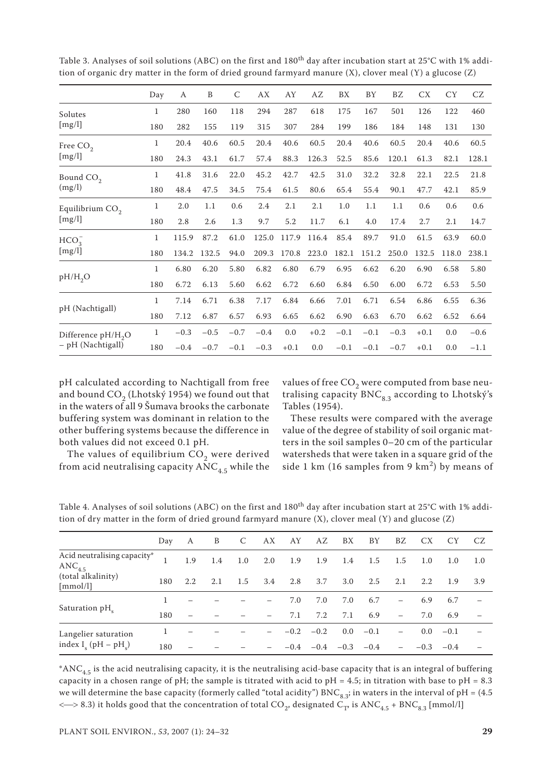|                       | Day          | A      | B      | C      | <b>AX</b> | AY     | AZ     | BX     | BY     | BZ     | <b>CX</b> | <b>CY</b> | CZ     |
|-----------------------|--------------|--------|--------|--------|-----------|--------|--------|--------|--------|--------|-----------|-----------|--------|
| Solutes               | 1            | 280    | 160    | 118    | 294       | 287    | 618    | 175    | 167    | 501    | 126       | 122       | 460    |
| [mg/l]                | 180          | 282    | 155    | 119    | 315       | 307    | 284    | 199    | 186    | 184    | 148       | 131       | 130    |
| Free $CO2$            | $\mathbf{1}$ | 20.4   | 40.6   | 60.5   | 20.4      | 40.6   | 60.5   | 20.4   | 40.6   | 60.5   | 20.4      | 40.6      | 60.5   |
| [mg/l]                | 180          | 24.3   | 43.1   | 61.7   | 57.4      | 88.3   | 126.3  | 52.5   | 85.6   | 120.1  | 61.3      | 82.1      | 128.1  |
| Bound CO <sub>2</sub> | 1            | 41.8   | 31.6   | 22.0   | 45.2      | 42.7   | 42.5   | 31.0   | 32.2   | 32.8   | 22.1      | 22.5      | 21.8   |
| (mg/l)                | 180          | 48.4   | 47.5   | 34.5   | 75.4      | 61.5   | 80.6   | 65.4   | 55.4   | 90.1   | 47.7      | 42.1      | 85.9   |
| Equilibrium $CO2$     | $\mathbf{1}$ | 2.0    | 1.1    | 0.6    | 2.4       | 2.1    | 2.1    | 1.0    | 1.1    | 1.1    | 0.6       | 0.6       | 0.6    |
| [mg/l]                | 180          | 2.8    | 2.6    | 1.3    | 9.7       | 5.2    | 11.7   | 6.1    | 4.0    | 17.4   | 2.7       | 2.1       | 14.7   |
| HCO <sub>3</sub>      | $\mathbf{1}$ | 115.9  | 87.2   | 61.0   | 125.0     | 117.9  | 116.4  | 85.4   | 89.7   | 91.0   | 61.5      | 63.9      | 60.0   |
| [mg/l]                | 180          | 134.2  | 132.5  | 94.0   | 209.3     | 170.8  | 223.0  | 182.1  | 151.2  | 250.0  | 132.5     | 118.0     | 238.1  |
|                       | 1            | 6.80   | 6.20   | 5.80   | 6.82      | 6.80   | 6.79   | 6.95   | 6.62   | 6.20   | 6.90      | 6.58      | 5.80   |
| pH/H <sub>2</sub> O   | 180          | 6.72   | 6.13   | 5.60   | 6.62      | 6.72   | 6.60   | 6.84   | 6.50   | 6.00   | 6.72      | 6.53      | 5.50   |
|                       | $\mathbf{1}$ | 7.14   | 6.71   | 6.38   | 7.17      | 6.84   | 6.66   | 7.01   | 6.71   | 6.54   | 6.86      | 6.55      | 6.36   |
| pH (Nachtigall)       | 180          | 7.12   | 6.87   | 6.57   | 6.93      | 6.65   | 6.62   | 6.90   | 6.63   | 6.70   | 6.62      | 6.52      | 6.64   |
| Difference $pH/H2O$   | $\mathbf{1}$ | $-0.3$ | $-0.5$ | $-0.7$ | $-0.4$    | 0.0    | $+0.2$ | $-0.1$ | $-0.1$ | $-0.3$ | $+0.1$    | 0.0       | $-0.6$ |
| - pH (Nachtigall)     | 180          | $-0.4$ | $-0.7$ | $-0.1$ | $-0.3$    | $+0.1$ | 0.0    | $-0.1$ | $-0.1$ | $-0.7$ | $+0.1$    | 0.0       | $-1.1$ |

Table 3. Analyses of soil solutions (ABC) on the first and 180<sup>th</sup> day after incubation start at 25°C with 1% addition of organic dry matter in the form of dried ground farmyard manure (X), clover meal (Y) a glucose (Z)

pH calculated according to Nachtigall from free and bound  $CO<sub>2</sub>$  (Lhotský 1954) we found out that in the waters of all 9 Šumava brooks the carbonate buffering system was dominant in relation to the other buffering systems because the difference in both values did not exceed 0.1 pH.

The values of equilibrium  $CO<sub>2</sub>$  were derived from acid neutralising capacity  $\widehat{ANC}_{4.5}$  while the values of free CO<sub>2</sub> were computed from base neutralising capacity  $BNC_{8,3}$  according to Lhotský's Tables (1954).

These results were compared with the average value of the degree of stability of soil organic matters in the soil samples 0–20 cm of the particular watersheds that were taken in a square grid of the side 1 km (16 samples from 9 km<sup>2</sup>) by means of

Table 4. Analyses of soil solutions (ABC) on the first and 180<sup>th</sup> day after incubation start at 25°C with 1% addition of dry matter in the form of dried ground farmyard manure (X), clover meal (Y) and glucose (Z)

|                                                   | Day | A   | B   | C   | AX                       | AY     | AZ     | BX                   | BY     | BZ                       | СX          | СY     | CZ                       |
|---------------------------------------------------|-----|-----|-----|-----|--------------------------|--------|--------|----------------------|--------|--------------------------|-------------|--------|--------------------------|
| Acid neutralising capacity*<br>$\text{ANC}_{4.5}$ |     | 1.9 | 1.4 | 1.0 | 2.0                      | 1.9    | 1.9    | 1.4                  | 1.5    | 1.5                      | 1.0         | 1.0    | 1.0                      |
| (total alkalinity)<br>[mmol/l]                    | 180 | 2.2 | 2.1 | 1.5 | 3.4                      | 2.8    | 3.7    | 3.0                  | 2.5    | 2.1                      | 2.2         | 1.9    | 3.9                      |
|                                                   |     |     |     |     |                          | 7.0    | 7.0    | 7.0                  | 6.7    |                          | 6.9         | 6.7    |                          |
| Saturation pH <sub>s</sub>                        | 180 |     |     |     |                          | 7.1    | 7.2    | 7.1                  | 6.9    | $\overline{\phantom{0}}$ | 7.0         | 6.9    | $\overline{\phantom{m}}$ |
| Langelier saturation                              |     |     |     |     | —                        | $-0.2$ | $-0.2$ | 0.0                  | $-0.1$ | $\qquad \qquad =$        | $0.0\,$     | $-0.1$ | $\overline{\phantom{0}}$ |
| index $I_s$ (pH – pH <sub>s</sub> )               | 180 |     |     |     | $\overline{\phantom{0}}$ | $-0.4$ |        | $-0.4$ $-0.3$ $-0.4$ |        | $-$                      | $-0.3 -0.4$ |        |                          |

 $*ANC_{4.5}$  is the acid neutralising capacity, it is the neutralising acid-base capacity that is an integral of buffering capacity in a chosen range of pH; the sample is titrated with acid to pH = 4.5; in titration with base to pH =  $8.3$ we will determine the base capacity (formerly called "total acidity") BNC<sub>8.3</sub>; in waters in the interval of pH = (4.5)  $\le$  8.3) it holds good that the concentration of total CO<sub>2</sub>, designated C<sub>T</sub>, is ANC<sub>4.5</sub> + BNC<sub>8.3</sub> [mmol/l]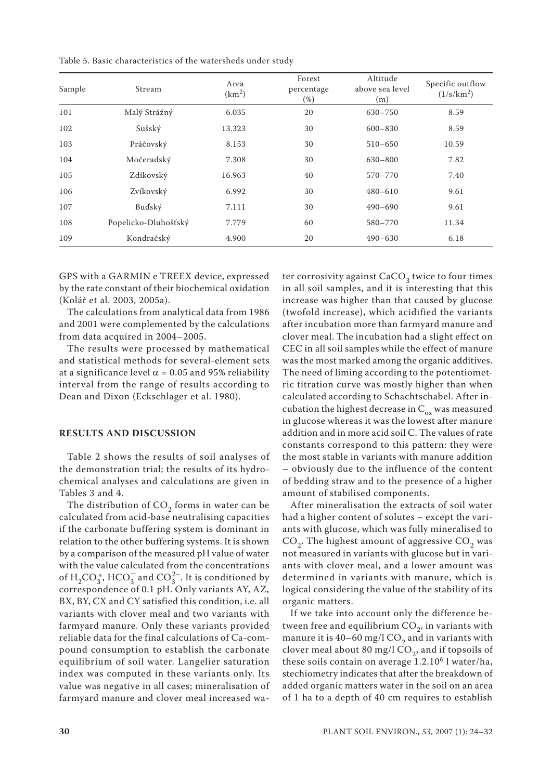Table 5. Basic characteristics of the watersheds under study

| Sample | Stream               | Forest<br>Area<br>percentage<br>(km <sup>2</sup> )<br>$(\%)$ |    | Altitude<br>above sea level<br>(m) | Specific outflow<br>$(1/s/km^2)$ |
|--------|----------------------|--------------------------------------------------------------|----|------------------------------------|----------------------------------|
| 101    | Malý Strážný         | 6.035                                                        | 20 | 630-750                            | 8.59                             |
| 102    | Sušský               | 13.323                                                       | 30 | $600 - 830$                        | 8.59                             |
| 103    | Práčovský            | 8.153                                                        | 30 | $510 - 650$                        | 10.59                            |
| 104    | Močeradský           | 7.308                                                        | 30 | $630 - 800$                        | 7.82                             |
| 105    | Zdíkovský            | 16.963                                                       | 40 | 570-770                            | 7.40                             |
| 106    | Zvíkovský            | 6.992                                                        | 30 | $480 - 610$                        | 9.61                             |
| 107    | Buďský               | 7.111                                                        | 30 | $490 - 690$                        | 9.61                             |
| 108    | Popelicko-Dluhošťský | 7.779                                                        | 60 | 580-770                            | 11.34                            |
| 109    | Kondračský           | 4.900                                                        | 20 | $490 - 630$                        | 6.18                             |

GPS with a GARMIN e TREEX device, expressed by the rate constant of their biochemical oxidation (Kolář et al. 2003, 2005a).

The calculations from analytical data from 1986 and 2001 were complemented by the calculations from data acquired in 2004–2005.

The results were processed by mathematical and statistical methods for several-element sets at a significance level  $\alpha$  = 0.05 and 95% reliability interval from the range of results according to Dean and Dixon (Eckschlager et al. 1980).

# **RESULTS AND DISCUSSION**

Table 2 shows the results of soil analyses of the demonstration trial; the results of its hydrochemical analyses and calculations are given in Tables 3 and 4.

The distribution of  $CO<sub>2</sub>$  forms in water can be calculated from acid-base neutralising capacities if the carbonate buffering system is dominant in relation to the other buffering systems. It is shown by a comparison of the measured pH value of water with the value calculated from the concentrations of  $H_2CO_3^*$ ,  $HCO_3^-$  and  $CO_3^{2-}$ . It is conditioned by correspondence of 0.1 pH. Only variants AY, AZ, BX, BY, CX and CY satisfied this condition, i.e. all variants with clover meal and two variants with farmyard manure. Only these variants provided reliable data for the final calculations of Ca-compound consumption to establish the carbonate equilibrium of soil water. Langelier saturation index was computed in these variants only. Its value was negative in all cases; mineralisation of farmyard manure and clover meal increased water corrosivity against  $CaCO<sub>3</sub>$  twice to four times in all soil samples, and it is interesting that this increase was higher than that caused by glucose (twofold increase), which acidified the variants after incubation more than farmyard manure and clover meal. The incubation had a slight effect on CEC in all soil samples while the effect of manure was the most marked among the organic additives. The need of liming according to the potentiometric titration curve was mostly higher than when calculated according to Schachtschabel. After incubation the highest decrease in  $C_{ox}$  was measured in glucose whereas it was the lowest after manure addition and in more acid soil C. The values of rate constants correspond to this pattern: they were the most stable in variants with manure addition – obviously due to the influence of the content of bedding straw and to the presence of a higher amount of stabilised components.

After mineralisation the extracts of soil water had a higher content of solutes – except the variants with glucose, which was fully mineralised to  $CO<sub>2</sub>$ . The highest amount of aggressive  $CO<sub>2</sub>$  was not measured in variants with glucose but in variants with clover meal, and a lower amount was determined in variants with manure, which is logical considering the value of the stability of its organic matters.

If we take into account only the difference between free and equilibrium  $CO<sub>2</sub>$ , in variants with manure it is 40–60 mg/l  $CO<sub>2</sub>$  and in variants with clover meal about 80 mg/l  $CO<sub>2</sub>$ , and if topsoils of these soils contain on average 1.2.10<sup>6</sup> l water/ha, stechiometry indicates that after the breakdown of added organic matters water in the soil on an area of 1 ha to a depth of 40 cm requires to establish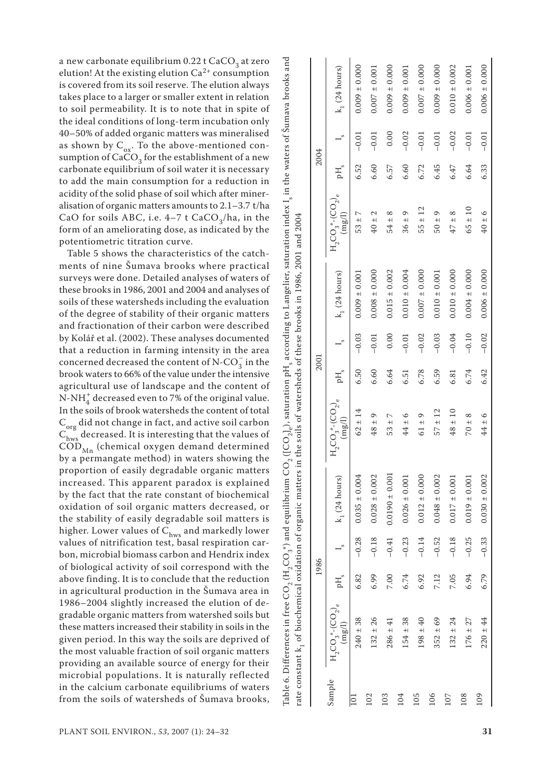| a new carbonate equilibrium 0.22 t CaCO <sub>3</sub> at zero<br>elution! At the existing elution $Ca^{2+}$ consumption<br>is covered from its soil reserve. The elution always<br>takes place to a larger or smaller extent in relation<br>to soil permeability. It is to note that in spite of<br>the ideal conditions of long-term incubation only                                    | $\left(\left[CO_{2}\right]_{e}\right)$ , saturation pH <sub>s</sub> according to Langelier, saturation index I <sub>s</sub> in the waters of Šumava brooks and                                                                                       |      | $k_1$ (24 hours)                                                                                             | $0.009 \pm 0.000$                                 | $0.007 \pm 0.001$                          | $0.009 \pm 0.000$        | $0.009 \pm 0.001$           | $0.007 \pm 0.000$                  | $0.009 \pm 0.000$            | $0.010 \pm 0.002$       | $0.006 \pm 0.001$                     | $0.006 \pm 0.000$             |
|-----------------------------------------------------------------------------------------------------------------------------------------------------------------------------------------------------------------------------------------------------------------------------------------------------------------------------------------------------------------------------------------|------------------------------------------------------------------------------------------------------------------------------------------------------------------------------------------------------------------------------------------------------|------|--------------------------------------------------------------------------------------------------------------|---------------------------------------------------|--------------------------------------------|--------------------------|-----------------------------|------------------------------------|------------------------------|-------------------------|---------------------------------------|-------------------------------|
| 40–50% of added organic matters was mineralised<br>as shown by $C_{ox}$ . To the above-mentioned con-                                                                                                                                                                                                                                                                                   |                                                                                                                                                                                                                                                      | 2004 |                                                                                                              | $-0.01$                                           | $-0.01$                                    | 0.00                     | $-0.02$                     | $-0.01$                            | $-0.01$                      | $-0.02$                 | $-0.01$                               | $-0.01$                       |
| sumption of $CaCO3$ for the establishment of a new<br>carbonate equilibrium of soil water it is necessary<br>to add the main consumption for a reduction in                                                                                                                                                                                                                             |                                                                                                                                                                                                                                                      |      | $\rm{pH}_{\rm s}$                                                                                            | 6.52                                              | 6.60                                       | 6.57                     | 6.60                        | 6.72                               | 6.45                         | 6.47                    | 6.64                                  | 6.33                          |
| acidity of the solid phase of soil which after miner-<br>alisation of organic matters amounts to 2.1–3.7 t/ha<br>CaO for soils ABC, i.e. $4-7$ t CaCO <sub>3</sub> /ha, in the<br>form of an ameliorating dose, as indicated by the<br>potentiometric titration curve.<br>Table 5 shows the characteristics of the catch-                                                               |                                                                                                                                                                                                                                                      |      | $\mathrm{H_{2}CO_{3}^{*-}(CO_{2})_{e}}$ (mg/l)                                                               | $\sim$<br>$\mathord{+}\mathord{\mathsf{I}}$<br>53 | $\mathbf{\sim}$<br>$\qquad \qquad +$<br>40 | $^{\circ}$<br>$+1$<br>54 | $\circ$<br>$^{\rm +}$<br>36 | $\pm~12$<br>55                     | $\circ$<br>$\pm\,$<br>$50\,$ | $^{\circ}$<br>$+$<br>47 | $\pm$ 10<br>65                        | $\circ$<br>$^{\rm +}$<br>40   |
| ments of nine Šumava brooks where practical<br>surveys were done. Detailed analyses of waters of<br>these brooks in 1986, 2001 and 2004 and analyses of<br>soils of these watersheds including the evaluation<br>of the degree of stability of their organic matters                                                                                                                    |                                                                                                                                                                                                                                                      |      | $k_1$ (24 hours)                                                                                             | $0.009 \pm 0.001$                                 | $0.008 \pm 0.000$                          | $0.015 \pm 0.002$        | $0.010 \pm 0.004$           | $0.007 \pm 0.000$                  | $0.010\pm0.001$              | $0.010 \pm 0.000$       | $0.004 \pm 0.000$                     | $0.006 \pm 0.000$             |
| and fractionation of their carbon were described<br>by Kolář et al. (2002). These analyses documented<br>that a reduction in farming intensity in the area                                                                                                                                                                                                                              |                                                                                                                                                                                                                                                      |      | $\overline{a}$                                                                                               | $-0.03$                                           | $-0.01$                                    | 0.00                     | $-0.01$                     | $-0.02$                            | $-0.03$                      | $-0.04$                 | $-0.10$                               | $-0.02$                       |
| concerned decreased the content of N-CO <sub>3</sub> in the<br>brook waters to 66% of the value under the intensive<br>agricultural use of landscape and the content of                                                                                                                                                                                                                 |                                                                                                                                                                                                                                                      | 2001 | $\mathbf{p} \mathbf{H}_{\mathrm{s}}$                                                                         | 6.50                                              | 6.60                                       | 6.64                     | 6.51                        | 6.78                               | 6.59                         | 6.81                    | 6.74                                  | 6.42                          |
| N-NH $_4^+$ decreased even to 7% of the original value.<br>In the soils of brook watersheds the content of total<br>$\mathrm{C_{org}}$ did not change in fact, and active soil carbon<br>$\widetilde{C_{\text{hws}}}$ decreased. It is interesting that the values of<br>$\mathrm{COD}_\mathrm{Mn}$ (chemical oxygen demand determined<br>by a permangate method) in waters showing the |                                                                                                                                                                                                                                                      |      | $H_2CO_3^*(-(CO_2)^{(-)}$<br>(mg/l)                                                                          | ±14<br>62                                         | $\circ$<br>$+$<br>48                       | $\sim$<br>$\pm$<br>53    | $\circ$<br>$+$<br>44        | $\sigma$<br>$+$<br>$\overline{61}$ | ± 12<br>57                   | $48 \pm 10$             | ${}^{\circ}$<br>$+$<br>$\overline{C}$ | $\circ$<br>$+1$<br>$\ddot{4}$ |
| proportion of easily degradable organic matters<br>increased. This apparent paradox is explained<br>by the fact that the rate constant of biochemical<br>oxidation of soil organic matters decreased, or<br>the stability of easily degradable soil matters is                                                                                                                          |                                                                                                                                                                                                                                                      |      | $k_1$ (24 hours)                                                                                             | $0.035 \pm 0.004$                                 | $0.028 \pm 0.002$                          | $0.0190 \pm 0.001$       | $0.026 \pm 0.001$           | $0.012 \pm 0.000$                  | $0.048 \pm 0.002$            | $0.017 \pm 0.001$       | $0.019 \pm 0.001$                     | $0.030 \pm 0.002$             |
| higher. Lower values of C <sub>hws</sub> and markedly lower<br>values of nitrification test, basal respiration car-<br>bon, microbial biomass carbon and Hendrix index                                                                                                                                                                                                                  |                                                                                                                                                                                                                                                      |      |                                                                                                              | $-0.28$                                           | $-0.18$                                    | $-0.41$                  | $-0.23$                     | $-0.14$                            | $-0.52$                      | $-0.18$                 | $-0.25$                               | $-0.33$                       |
| of biological activity of soil correspond with the<br>above finding. It is to conclude that the reduction<br>in agricultural production in the Šumava area in                                                                                                                                                                                                                           |                                                                                                                                                                                                                                                      | 1986 | рH <sub>s</sub>                                                                                              | 6.82                                              | 6.99                                       | $7.00\,$                 | 6.74                        | 6.92                               | 7.12                         | 7.05                    | 6.94                                  | 6.79                          |
| 1986-2004 slightly increased the elution of de-<br>gradable organic matters from watershed soils but<br>these matters increased their stability in soils in the<br>given period. In this way the soils are deprived of<br>the most valuable fraction of soil organic matters<br>providing an available source of energy for their                                                       | rate constant $k_1$ of biochemical oxidation of organic matters in the soils of watersheds of these brooks in 1986, 2001 and 2004<br>Table 6. Differences in free CO <sub>2</sub> (H <sub>2</sub> CO <sub>3</sub> *) and equilibrium CO <sub>2</sub> |      | $\mathrm{H}_{2}\mathrm{CO}_{3}^{*}\text{-}\mathrm{(CO}_{2})_{\mathrm{e}}^{*}$<br>$\left(\frac{mg}{l}\right)$ | $240 \pm 38$                                      | 26<br>$132 \pm 1$                          | $286 \pm 41$             | 38<br>$154 \pm 1$           | $198 \pm 40$                       | $\pm 69$<br>352              | 24<br>$+$<br>132        | $176 \pm 27$                          | $220 \pm 44$                  |
| microbial populations. It is naturally reflected<br>in the calcium carbonate equilibriums of waters<br>from the soils of watersheds of Šumava brooks,                                                                                                                                                                                                                                   |                                                                                                                                                                                                                                                      |      | Sample                                                                                                       | $\overline{\mathrm{D}}$                           | 102                                        | 103                      | 104                         | 105                                | 106                          | 107                     | 108                                   | 109                           |
| PLANT SOIL ENVIRON., 53, 2007 (1): 24-32                                                                                                                                                                                                                                                                                                                                                |                                                                                                                                                                                                                                                      |      |                                                                                                              |                                                   |                                            |                          |                             |                                    |                              |                         |                                       | 31                            |